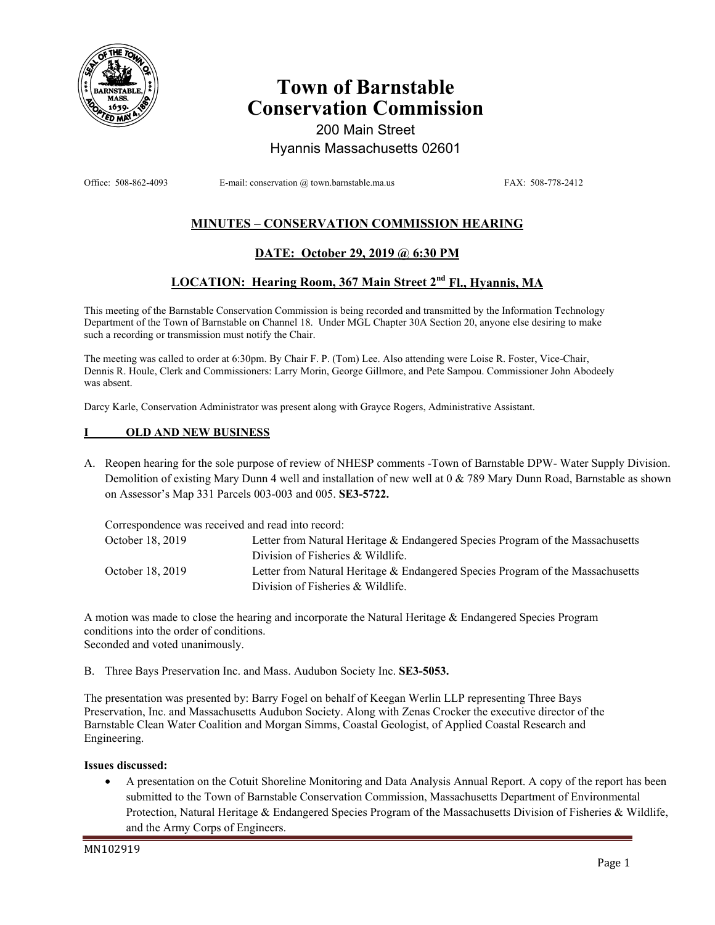

# **Town of Barnstable Conservation Commission**

200 Main Street Hyannis Massachusetts 02601

Office: 508-862-4093 E-mail: conservation @ town.barnstable.ma.us FAX: 508-778-2412

# **MINUTES – CONSERVATION COMMISSION HEARING**

# **DATE: October 29, 2019 @ 6:30 PM**

# **LOCATION: Hearing Room, 367 Main Street 2nd Fl., Hyannis, MA**

This meeting of the Barnstable Conservation Commission is being recorded and transmitted by the Information Technology Department of the Town of Barnstable on Channel 18. Under MGL Chapter 30A Section 20, anyone else desiring to make such a recording or transmission must notify the Chair.

The meeting was called to order at 6:30pm. By Chair F. P. (Tom) Lee. Also attending were Loise R. Foster, Vice-Chair, Dennis R. Houle, Clerk and Commissioners: Larry Morin, George Gillmore, and Pete Sampou. Commissioner John Abodeely was absent.

Darcy Karle, Conservation Administrator was present along with Grayce Rogers, Administrative Assistant.

#### **I OLD AND NEW BUSINESS**

A. Reopen hearing for the sole purpose of review of NHESP comments -Town of Barnstable DPW- Water Supply Division. Demolition of existing Mary Dunn 4 well and installation of new well at 0 & 789 Mary Dunn Road, Barnstable as shown on Assessor's Map 331 Parcels 003-003 and 005. **SE3-5722.** 

|                  | Correspondence was received and read into record:                              |  |  |
|------------------|--------------------------------------------------------------------------------|--|--|
| October 18, 2019 | Letter from Natural Heritage & Endangered Species Program of the Massachusetts |  |  |
|                  | Division of Fisheries & Wildlife.                                              |  |  |
| October 18, 2019 | Letter from Natural Heritage & Endangered Species Program of the Massachusetts |  |  |
|                  | Division of Fisheries & Wildlife.                                              |  |  |

A motion was made to close the hearing and incorporate the Natural Heritage & Endangered Species Program conditions into the order of conditions. Seconded and voted unanimously.

B. Three Bays Preservation Inc. and Mass. Audubon Society Inc. **SE3-5053.**

The presentation was presented by: Barry Fogel on behalf of Keegan Werlin LLP representing Three Bays Preservation, Inc. and Massachusetts Audubon Society. Along with Zenas Crocker the executive director of the Barnstable Clean Water Coalition and Morgan Simms, Coastal Geologist, of Applied Coastal Research and Engineering.

#### **Issues discussed:**

• A presentation on the Cotuit Shoreline Monitoring and Data Analysis Annual Report. A copy of the report has been submitted to the Town of Barnstable Conservation Commission, Massachusetts Department of Environmental Protection, Natural Heritage & Endangered Species Program of the Massachusetts Division of Fisheries & Wildlife, and the Army Corps of Engineers.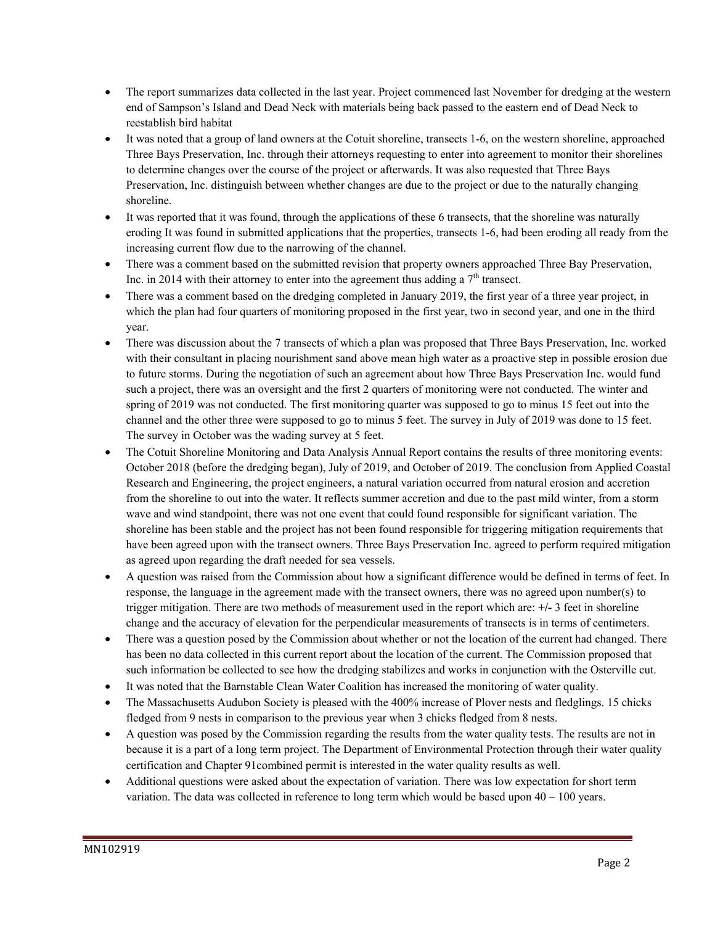- The report summarizes data collected in the last year. Project commenced last November for dredging at the western end of Sampson's Island and Dead Neck with materials being back passed to the eastern end of Dead Neck to reestablish bird habitat
- It was noted that a group of land owners at the Cotuit shoreline, transects 1-6, on the western shoreline, approached Three Bays Preservation, Inc. through their attorneys requesting to enter into agreement to monitor their shorelines to determine changes over the course of the project or afterwards. It was also requested that Three Bays Preservation, Inc. distinguish between whether changes are due to the project or due to the naturally changing shoreline.
- It was reported that it was found, through the applications of these 6 transects, that the shoreline was naturally eroding It was found in submitted applications that the properties, transects 1-6, had been eroding all ready from the increasing current flow due to the narrowing of the channel.
- There was a comment based on the submitted revision that property owners approached Three Bay Preservation, Inc. in 2014 with their attorney to enter into the agreement thus adding a  $7<sup>th</sup>$  transect.
- There was a comment based on the dredging completed in January 2019, the first year of a three year project, in which the plan had four quarters of monitoring proposed in the first year, two in second year, and one in the third year.
- There was discussion about the 7 transects of which a plan was proposed that Three Bays Preservation, Inc. worked with their consultant in placing nourishment sand above mean high water as a proactive step in possible erosion due to future storms. During the negotiation of such an agreement about how Three Bays Preservation Inc. would fund such a project, there was an oversight and the first 2 quarters of monitoring were not conducted. The winter and spring of 2019 was not conducted. The first monitoring quarter was supposed to go to minus 15 feet out into the channel and the other three were supposed to go to minus 5 feet. The survey in July of 2019 was done to 15 feet. The survey in October was the wading survey at 5 feet.
- The Cotuit Shoreline Monitoring and Data Analysis Annual Report contains the results of three monitoring events: October 2018 (before the dredging began), July of 2019, and October of 2019. The conclusion from Applied Coastal Research and Engineering, the project engineers, a natural variation occurred from natural erosion and accretion from the shoreline to out into the water. It reflects summer accretion and due to the past mild winter, from a storm wave and wind standpoint, there was not one event that could found responsible for significant variation. The shoreline has been stable and the project has not been found responsible for triggering mitigation requirements that have been agreed upon with the transect owners. Three Bays Preservation Inc. agreed to perform required mitigation as agreed upon regarding the draft needed for sea vessels.
- A question was raised from the Commission about how a significant difference would be defined in terms of feet. In response, the language in the agreement made with the transect owners, there was no agreed upon number(s) to trigger mitigation. There are two methods of measurement used in the report which are: **+/-** 3 feet in shoreline change and the accuracy of elevation for the perpendicular measurements of transects is in terms of centimeters.
- There was a question posed by the Commission about whether or not the location of the current had changed. There has been no data collected in this current report about the location of the current. The Commission proposed that such information be collected to see how the dredging stabilizes and works in conjunction with the Osterville cut.
- It was noted that the Barnstable Clean Water Coalition has increased the monitoring of water quality.
- The Massachusetts Audubon Society is pleased with the 400% increase of Plover nests and fledglings. 15 chicks fledged from 9 nests in comparison to the previous year when 3 chicks fledged from 8 nests.
- A question was posed by the Commission regarding the results from the water quality tests. The results are not in because it is a part of a long term project. The Department of Environmental Protection through their water quality certification and Chapter 91combined permit is interested in the water quality results as well.
- Additional questions were asked about the expectation of variation. There was low expectation for short term variation. The data was collected in reference to long term which would be based upon  $40 - 100$  years.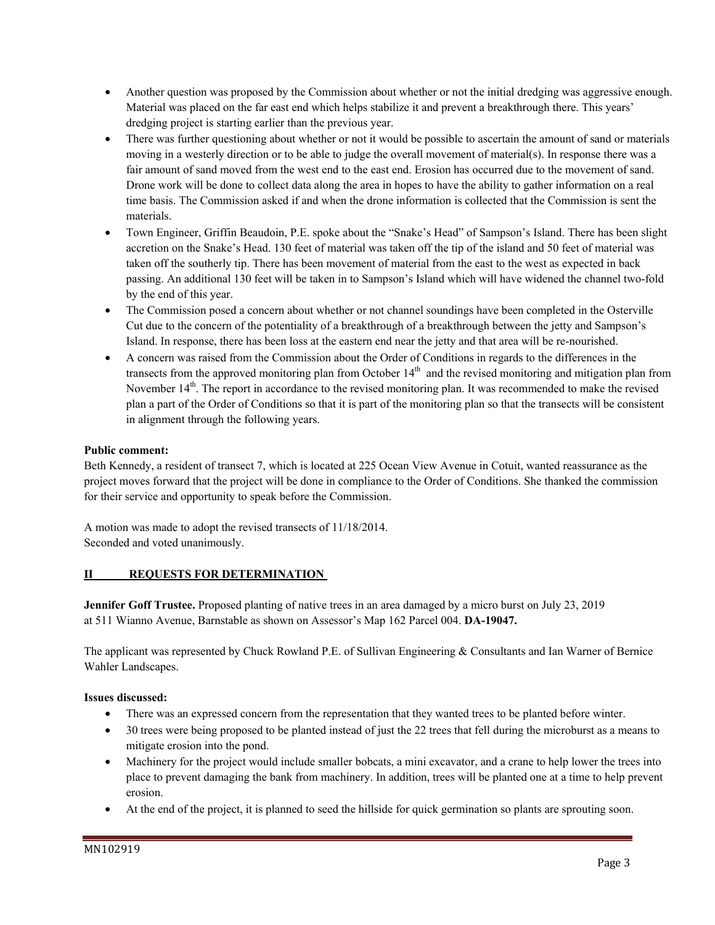- Another question was proposed by the Commission about whether or not the initial dredging was aggressive enough. Material was placed on the far east end which helps stabilize it and prevent a breakthrough there. This years' dredging project is starting earlier than the previous year.
- There was further questioning about whether or not it would be possible to ascertain the amount of sand or materials moving in a westerly direction or to be able to judge the overall movement of material(s). In response there was a fair amount of sand moved from the west end to the east end. Erosion has occurred due to the movement of sand. Drone work will be done to collect data along the area in hopes to have the ability to gather information on a real time basis. The Commission asked if and when the drone information is collected that the Commission is sent the materials.
- Town Engineer, Griffin Beaudoin, P.E. spoke about the "Snake's Head" of Sampson's Island. There has been slight accretion on the Snake's Head. 130 feet of material was taken off the tip of the island and 50 feet of material was taken off the southerly tip. There has been movement of material from the east to the west as expected in back passing. An additional 130 feet will be taken in to Sampson's Island which will have widened the channel two-fold by the end of this year.
- The Commission posed a concern about whether or not channel soundings have been completed in the Osterville Cut due to the concern of the potentiality of a breakthrough of a breakthrough between the jetty and Sampson's Island. In response, there has been loss at the eastern end near the jetty and that area will be re-nourished.
- A concern was raised from the Commission about the Order of Conditions in regards to the differences in the transects from the approved monitoring plan from October  $14<sup>th</sup>$  and the revised monitoring and mitigation plan from November  $14<sup>th</sup>$ . The report in accordance to the revised monitoring plan. It was recommended to make the revised plan a part of the Order of Conditions so that it is part of the monitoring plan so that the transects will be consistent in alignment through the following years.

## **Public comment:**

Beth Kennedy, a resident of transect 7, which is located at 225 Ocean View Avenue in Cotuit, wanted reassurance as the project moves forward that the project will be done in compliance to the Order of Conditions. She thanked the commission for their service and opportunity to speak before the Commission.

A motion was made to adopt the revised transects of 11/18/2014. Seconded and voted unanimously.

## **II REQUESTS FOR DETERMINATION**

**Jennifer Goff Trustee.** Proposed planting of native trees in an area damaged by a micro burst on July 23, 2019 at 511 Wianno Avenue, Barnstable as shown on Assessor's Map 162 Parcel 004. **DA-19047.**

The applicant was represented by Chuck Rowland P.E. of Sullivan Engineering & Consultants and Ian Warner of Bernice Wahler Landscapes.

## **Issues discussed:**

- There was an expressed concern from the representation that they wanted trees to be planted before winter.
- 30 trees were being proposed to be planted instead of just the 22 trees that fell during the microburst as a means to mitigate erosion into the pond.
- Machinery for the project would include smaller bobcats, a mini excavator, and a crane to help lower the trees into place to prevent damaging the bank from machinery. In addition, trees will be planted one at a time to help prevent erosion.
- At the end of the project, it is planned to seed the hillside for quick germination so plants are sprouting soon.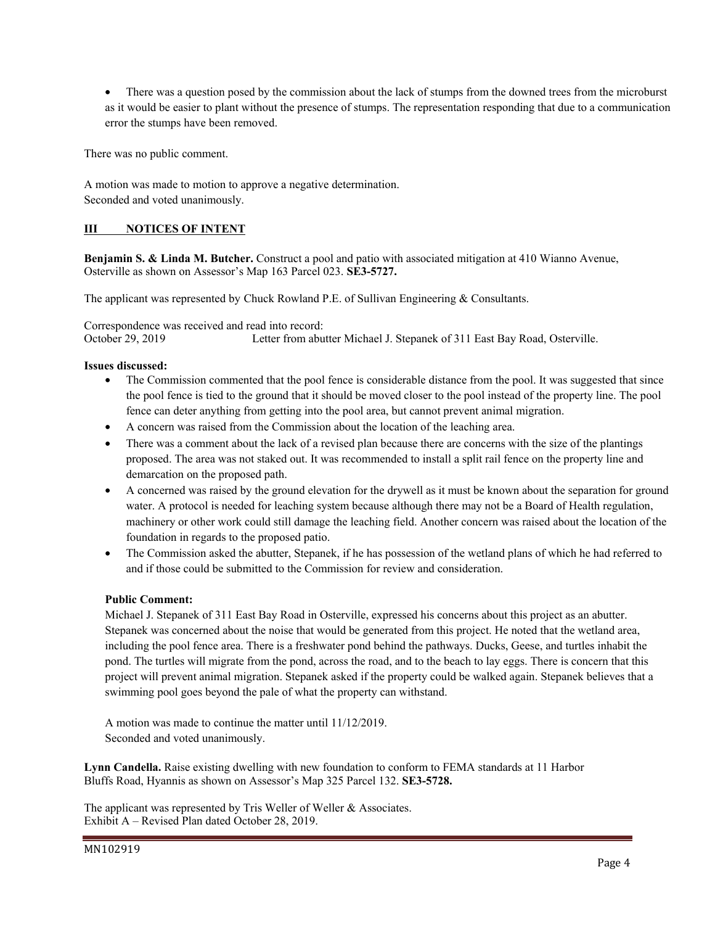• There was a question posed by the commission about the lack of stumps from the downed trees from the microburst as it would be easier to plant without the presence of stumps. The representation responding that due to a communication error the stumps have been removed.

There was no public comment.

A motion was made to motion to approve a negative determination. Seconded and voted unanimously.

#### **III NOTICES OF INTENT**

**Benjamin S. & Linda M. Butcher.** Construct a pool and patio with associated mitigation at 410 Wianno Avenue, Osterville as shown on Assessor's Map 163 Parcel 023. **SE3-5727.** 

The applicant was represented by Chuck Rowland P.E. of Sullivan Engineering & Consultants.

Correspondence was received and read into record: October 29, 2019 Letter from abutter Michael J. Stepanek of 311 East Bay Road, Osterville.

#### **Issues discussed:**

- The Commission commented that the pool fence is considerable distance from the pool. It was suggested that since the pool fence is tied to the ground that it should be moved closer to the pool instead of the property line. The pool fence can deter anything from getting into the pool area, but cannot prevent animal migration.
- A concern was raised from the Commission about the location of the leaching area.
- There was a comment about the lack of a revised plan because there are concerns with the size of the plantings proposed. The area was not staked out. It was recommended to install a split rail fence on the property line and demarcation on the proposed path.
- A concerned was raised by the ground elevation for the drywell as it must be known about the separation for ground water. A protocol is needed for leaching system because although there may not be a Board of Health regulation, machinery or other work could still damage the leaching field. Another concern was raised about the location of the foundation in regards to the proposed patio.
- The Commission asked the abutter, Stepanek, if he has possession of the wetland plans of which he had referred to and if those could be submitted to the Commission for review and consideration.

#### **Public Comment:**

Michael J. Stepanek of 311 East Bay Road in Osterville, expressed his concerns about this project as an abutter. Stepanek was concerned about the noise that would be generated from this project. He noted that the wetland area, including the pool fence area. There is a freshwater pond behind the pathways. Ducks, Geese, and turtles inhabit the pond. The turtles will migrate from the pond, across the road, and to the beach to lay eggs. There is concern that this project will prevent animal migration. Stepanek asked if the property could be walked again. Stepanek believes that a swimming pool goes beyond the pale of what the property can withstand.

A motion was made to continue the matter until 11/12/2019. Seconded and voted unanimously.

**Lynn Candella.** Raise existing dwelling with new foundation to conform to FEMA standards at 11 Harbor Bluffs Road, Hyannis as shown on Assessor's Map 325 Parcel 132. **SE3-5728.** 

The applicant was represented by Tris Weller of Weller & Associates. Exhibit A – Revised Plan dated October 28, 2019.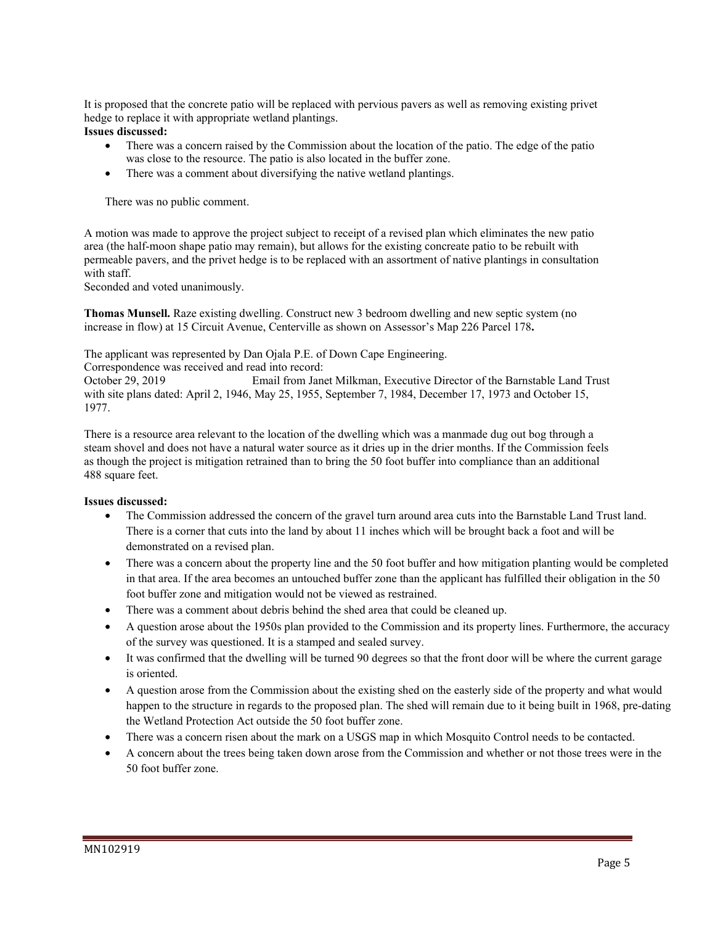It is proposed that the concrete patio will be replaced with pervious pavers as well as removing existing privet hedge to replace it with appropriate wetland plantings.

#### **Issues discussed:**

- There was a concern raised by the Commission about the location of the patio. The edge of the patio was close to the resource. The patio is also located in the buffer zone.
- There was a comment about diversifying the native wetland plantings.

There was no public comment.

A motion was made to approve the project subject to receipt of a revised plan which eliminates the new patio area (the half-moon shape patio may remain), but allows for the existing concreate patio to be rebuilt with permeable pavers, and the privet hedge is to be replaced with an assortment of native plantings in consultation with staff.

Seconded and voted unanimously.

**Thomas Munsell.** Raze existing dwelling. Construct new 3 bedroom dwelling and new septic system (no increase in flow) at 15 Circuit Avenue, Centerville as shown on Assessor's Map 226 Parcel 178**.** 

The applicant was represented by Dan Ojala P.E. of Down Cape Engineering.

Correspondence was received and read into record:

October 29, 2019 Email from Janet Milkman, Executive Director of the Barnstable Land Trust with site plans dated: April 2, 1946, May 25, 1955, September 7, 1984, December 17, 1973 and October 15, 1977.

There is a resource area relevant to the location of the dwelling which was a manmade dug out bog through a steam shovel and does not have a natural water source as it dries up in the drier months. If the Commission feels as though the project is mitigation retrained than to bring the 50 foot buffer into compliance than an additional 488 square feet.

#### **Issues discussed:**

- The Commission addressed the concern of the gravel turn around area cuts into the Barnstable Land Trust land. There is a corner that cuts into the land by about 11 inches which will be brought back a foot and will be demonstrated on a revised plan.
- There was a concern about the property line and the 50 foot buffer and how mitigation planting would be completed in that area. If the area becomes an untouched buffer zone than the applicant has fulfilled their obligation in the 50 foot buffer zone and mitigation would not be viewed as restrained.
- There was a comment about debris behind the shed area that could be cleaned up.
- A question arose about the 1950s plan provided to the Commission and its property lines. Furthermore, the accuracy of the survey was questioned. It is a stamped and sealed survey.
- It was confirmed that the dwelling will be turned 90 degrees so that the front door will be where the current garage is oriented.
- A question arose from the Commission about the existing shed on the easterly side of the property and what would happen to the structure in regards to the proposed plan. The shed will remain due to it being built in 1968, pre-dating the Wetland Protection Act outside the 50 foot buffer zone.
- There was a concern risen about the mark on a USGS map in which Mosquito Control needs to be contacted.
- A concern about the trees being taken down arose from the Commission and whether or not those trees were in the 50 foot buffer zone.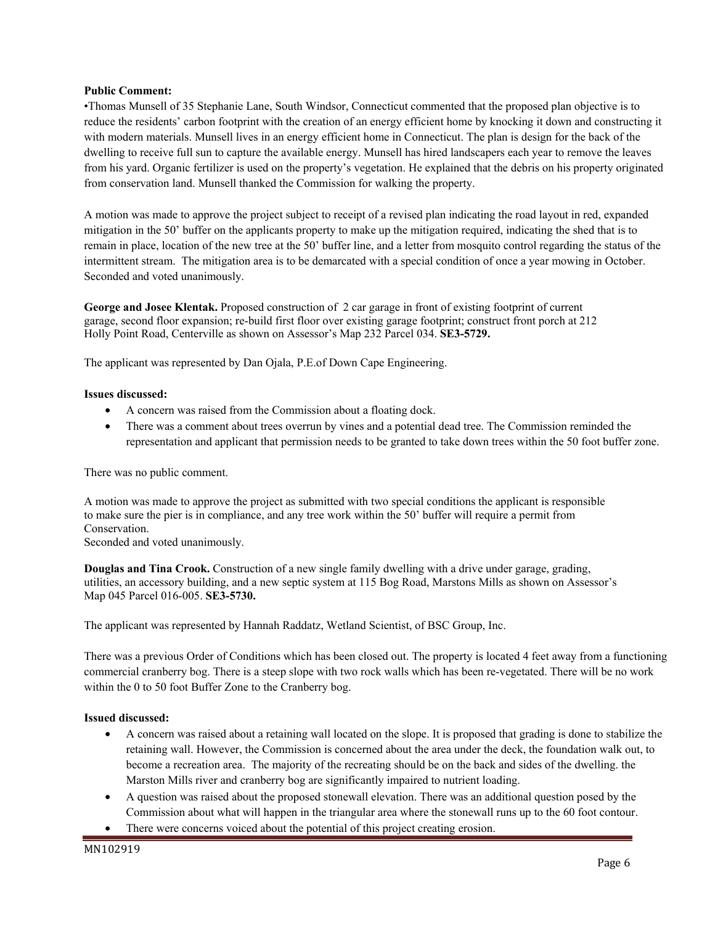#### **Public Comment:**

•Thomas Munsell of 35 Stephanie Lane, South Windsor, Connecticut commented that the proposed plan objective is to reduce the residents' carbon footprint with the creation of an energy efficient home by knocking it down and constructing it with modern materials. Munsell lives in an energy efficient home in Connecticut. The plan is design for the back of the dwelling to receive full sun to capture the available energy. Munsell has hired landscapers each year to remove the leaves from his yard. Organic fertilizer is used on the property's vegetation. He explained that the debris on his property originated from conservation land. Munsell thanked the Commission for walking the property.

A motion was made to approve the project subject to receipt of a revised plan indicating the road layout in red, expanded mitigation in the 50' buffer on the applicants property to make up the mitigation required, indicating the shed that is to remain in place, location of the new tree at the 50' buffer line, and a letter from mosquito control regarding the status of the intermittent stream. The mitigation area is to be demarcated with a special condition of once a year mowing in October. Seconded and voted unanimously.

**George and Josee Klentak.** Proposed construction of 2 car garage in front of existing footprint of current garage, second floor expansion; re-build first floor over existing garage footprint; construct front porch at 212 Holly Point Road, Centerville as shown on Assessor's Map 232 Parcel 034. **SE3-5729.**

The applicant was represented by Dan Ojala, P.E.of Down Cape Engineering.

#### **Issues discussed:**

- A concern was raised from the Commission about a floating dock.
- There was a comment about trees overrun by vines and a potential dead tree. The Commission reminded the representation and applicant that permission needs to be granted to take down trees within the 50 foot buffer zone.

There was no public comment.

A motion was made to approve the project as submitted with two special conditions the applicant is responsible to make sure the pier is in compliance, and any tree work within the 50' buffer will require a permit from Conservation.

Seconded and voted unanimously.

**Douglas and Tina Crook.** Construction of a new single family dwelling with a drive under garage, grading, utilities, an accessory building, and a new septic system at 115 Bog Road, Marstons Mills as shown on Assessor's Map 045 Parcel 016-005. **SE3-5730.**

The applicant was represented by Hannah Raddatz, Wetland Scientist, of BSC Group, Inc.

There was a previous Order of Conditions which has been closed out. The property is located 4 feet away from a functioning commercial cranberry bog. There is a steep slope with two rock walls which has been re-vegetated. There will be no work within the 0 to 50 foot Buffer Zone to the Cranberry bog.

#### **Issued discussed:**

- A concern was raised about a retaining wall located on the slope. It is proposed that grading is done to stabilize the retaining wall. However, the Commission is concerned about the area under the deck, the foundation walk out, to become a recreation area. The majority of the recreating should be on the back and sides of the dwelling. the Marston Mills river and cranberry bog are significantly impaired to nutrient loading.
- A question was raised about the proposed stonewall elevation. There was an additional question posed by the Commission about what will happen in the triangular area where the stonewall runs up to the 60 foot contour.
- There were concerns voiced about the potential of this project creating erosion.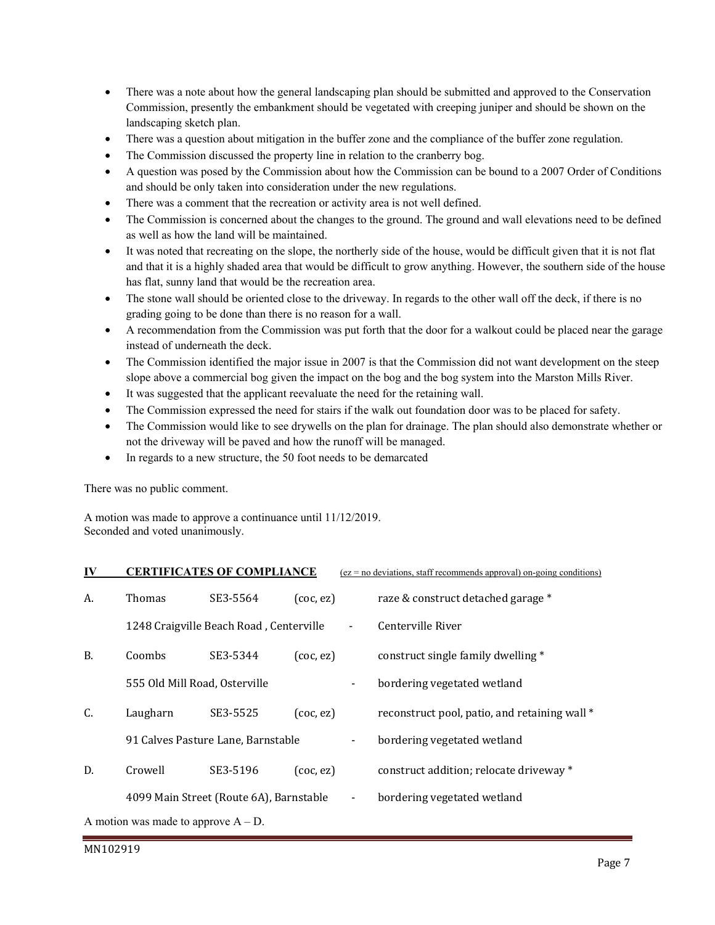- There was a note about how the general landscaping plan should be submitted and approved to the Conservation Commission, presently the embankment should be vegetated with creeping juniper and should be shown on the landscaping sketch plan.
- There was a question about mitigation in the buffer zone and the compliance of the buffer zone regulation.
- The Commission discussed the property line in relation to the cranberry bog.
- A question was posed by the Commission about how the Commission can be bound to a 2007 Order of Conditions and should be only taken into consideration under the new regulations.
- There was a comment that the recreation or activity area is not well defined.
- The Commission is concerned about the changes to the ground. The ground and wall elevations need to be defined as well as how the land will be maintained.
- It was noted that recreating on the slope, the northerly side of the house, would be difficult given that it is not flat and that it is a highly shaded area that would be difficult to grow anything. However, the southern side of the house has flat, sunny land that would be the recreation area.
- The stone wall should be oriented close to the driveway. In regards to the other wall off the deck, if there is no grading going to be done than there is no reason for a wall.
- A recommendation from the Commission was put forth that the door for a walkout could be placed near the garage instead of underneath the deck.
- The Commission identified the major issue in 2007 is that the Commission did not want development on the steep slope above a commercial bog given the impact on the bog and the bog system into the Marston Mills River.
- It was suggested that the applicant reevaluate the need for the retaining wall.
- The Commission expressed the need for stairs if the walk out foundation door was to be placed for safety.
- The Commission would like to see drywells on the plan for drainage. The plan should also demonstrate whether or not the driveway will be paved and how the runoff will be managed.
- In regards to a new structure, the 50 foot needs to be demarcated

There was no public comment.

A motion was made to approve a continuance until 11/12/2019. Seconded and voted unanimously.

| IV                                     |                                         | <b>CERTIFICATES OF COMPLIANCE</b> |                 |                              | $(ez = no deviations, staff recommends approval) on-going conditions)$ |  |  |
|----------------------------------------|-----------------------------------------|-----------------------------------|-----------------|------------------------------|------------------------------------------------------------------------|--|--|
| А.                                     | Thomas                                  | SE3-5564                          | $($ coc, ez $)$ |                              | raze & construct detached garage *                                     |  |  |
|                                        | 1248 Craigville Beach Road, Centerville |                                   |                 |                              | Centerville River                                                      |  |  |
| <b>B.</b>                              | Coombs                                  | SE3-5344                          | $($ coc, ez $)$ |                              | construct single family dwelling *                                     |  |  |
|                                        | 555 Old Mill Road, Osterville           |                                   |                 | $\qquad \qquad \blacksquare$ | bordering vegetated wetland                                            |  |  |
| C.                                     | Laugharn                                | SE3-5525                          | $($ coc, ez $)$ |                              | reconstruct pool, patio, and retaining wall*                           |  |  |
|                                        | 91 Calves Pasture Lane, Barnstable      |                                   |                 |                              | bordering vegetated wetland                                            |  |  |
| D.                                     | Crowell                                 | SE3-5196                          | $($ coc, ez $)$ |                              | construct addition; relocate driveway *                                |  |  |
|                                        | 4099 Main Street (Route 6A), Barnstable |                                   |                 | $\overline{\phantom{a}}$     | bordering vegetated wetland                                            |  |  |
| A motion was made to approve $A - D$ . |                                         |                                   |                 |                              |                                                                        |  |  |